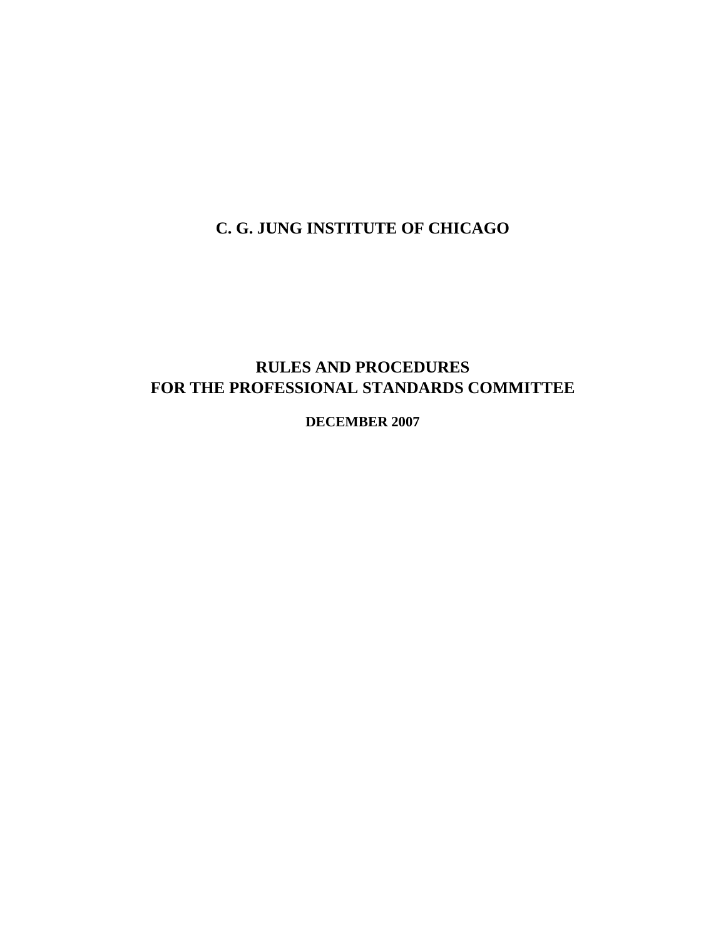# **C. G. JUNG INSTITUTE OF CHICAGO**

## **RULES AND PROCEDURES FOR THE PROFESSIONAL STANDARDS COMMITTEE**

**DECEMBER 2007**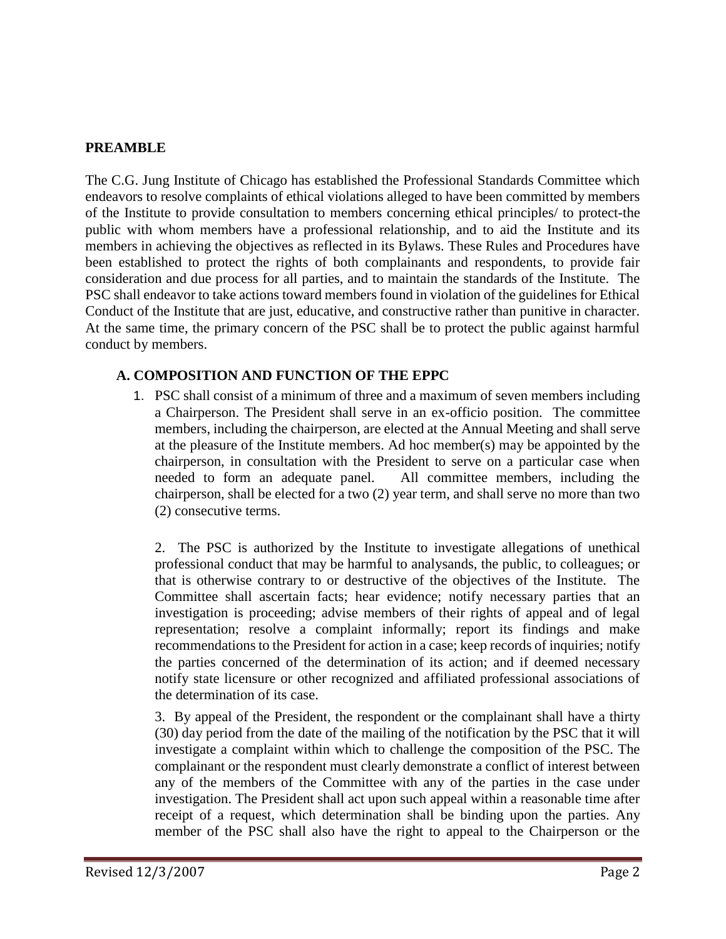#### **PREAMBLE**

The C.G. Jung Institute of Chicago has established the Professional Standards Committee which endeavors to resolve complaints of ethical violations alleged to have been committed by members of the Institute to provide consultation to members concerning ethical principles/ to protect-the public with whom members have a professional relationship, and to aid the Institute and its members in achieving the objectives as reflected in its Bylaws. These Rules and Procedures have been established to protect the rights of both complainants and respondents, to provide fair consideration and due process for all parties, and to maintain the standards of the Institute. The PSC shall endeavor to take actions toward members found in violation of the guidelines for Ethical Conduct of the Institute that are just, educative, and constructive rather than punitive in character. At the same time, the primary concern of the PSC shall be to protect the public against harmful conduct by members.

#### **A. COMPOSITION AND FUNCTION OF THE EPPC**

1. PSC shall consist of a minimum of three and a maximum of seven members including a Chairperson. The President shall serve in an ex-officio position. The committee members, including the chairperson, are elected at the Annual Meeting and shall serve at the pleasure of the Institute members. Ad hoc member(s) may be appointed by the chairperson, in consultation with the President to serve on a particular case when needed to form an adequate panel. All committee members, including the chairperson, shall be elected for a two (2) year term, and shall serve no more than two (2) consecutive terms.

2. The PSC is authorized by the Institute to investigate allegations of unethical professional conduct that may be harmful to analysands, the public, to colleagues; or that is otherwise contrary to or destructive of the objectives of the Institute. The Committee shall ascertain facts; hear evidence; notify necessary parties that an investigation is proceeding; advise members of their rights of appeal and of legal representation; resolve a complaint informally; report its findings and make recommendations to the President for action in a case; keep records of inquiries; notify the parties concerned of the determination of its action; and if deemed necessary notify state licensure or other recognized and affiliated professional associations of the determination of its case.

3. By appeal of the President, the respondent or the complainant shall have a thirty (30) day period from the date of the mailing of the notification by the PSC that it will investigate a complaint within which to challenge the composition of the PSC. The complainant or the respondent must clearly demonstrate a conflict of interest between any of the members of the Committee with any of the parties in the case under investigation. The President shall act upon such appeal within a reasonable time after receipt of a request, which determination shall be binding upon the parties. Any member of the PSC shall also have the right to appeal to the Chairperson or the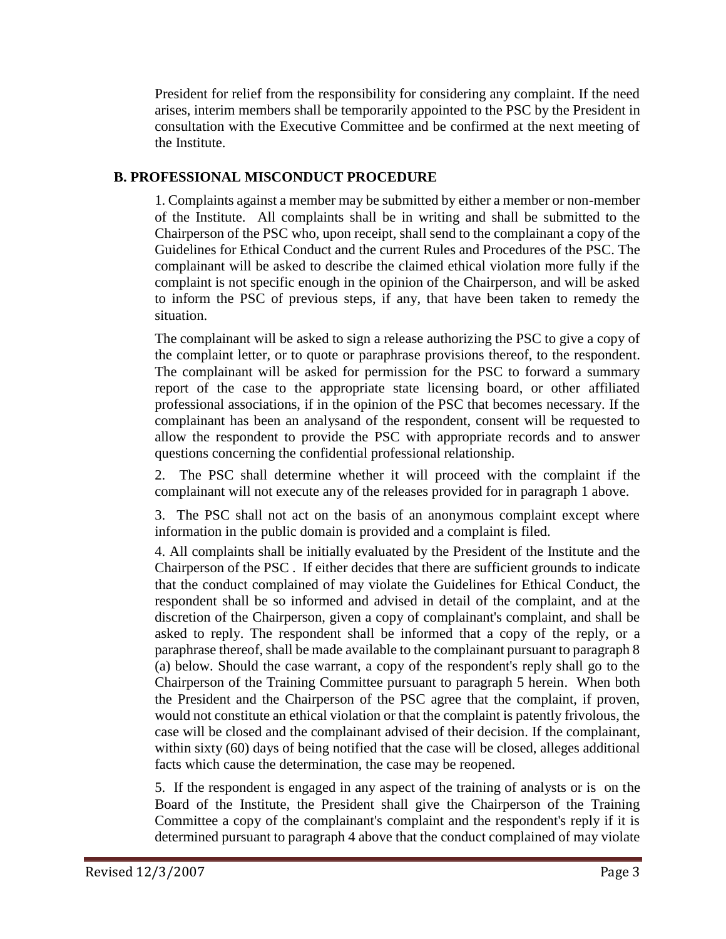President for relief from the responsibility for considering any complaint. If the need arises, interim members shall be temporarily appointed to the PSC by the President in consultation with the Executive Committee and be confirmed at the next meeting of the Institute.

### **B. PROFESSIONAL MISCONDUCT PROCEDURE**

1. Complaints against a member may be submitted by either a member or non-member of the Institute. All complaints shall be in writing and shall be submitted to the Chairperson of the PSC who, upon receipt, shall send to the complainant a copy of the Guidelines for Ethical Conduct and the current Rules and Procedures of the PSC. The complainant will be asked to describe the claimed ethical violation more fully if the complaint is not specific enough in the opinion of the Chairperson, and will be asked to inform the PSC of previous steps, if any, that have been taken to remedy the situation.

The complainant will be asked to sign a release authorizing the PSC to give a copy of the complaint letter, or to quote or paraphrase provisions thereof, to the respondent. The complainant will be asked for permission for the PSC to forward a summary report of the case to the appropriate state licensing board, or other affiliated professional associations, if in the opinion of the PSC that becomes necessary. If the complainant has been an analysand of the respondent, consent will be requested to allow the respondent to provide the PSC with appropriate records and to answer questions concerning the confidential professional relationship.

2. The PSC shall determine whether it will proceed with the complaint if the complainant will not execute any of the releases provided for in paragraph 1 above.

3. The PSC shall not act on the basis of an anonymous complaint except where information in the public domain is provided and a complaint is filed.

4. All complaints shall be initially evaluated by the President of the Institute and the Chairperson of the PSC . If either decides that there are sufficient grounds to indicate that the conduct complained of may violate the Guidelines for Ethical Conduct, the respondent shall be so informed and advised in detail of the complaint, and at the discretion of the Chairperson, given a copy of complainant's complaint, and shall be asked to reply. The respondent shall be informed that a copy of the reply, or a paraphrase thereof, shall be made available to the complainant pursuant to paragraph 8 (a) below. Should the case warrant, a copy of the respondent's reply shall go to the Chairperson of the Training Committee pursuant to paragraph 5 herein. When both the President and the Chairperson of the PSC agree that the complaint, if proven, would not constitute an ethical violation or that the complaint is patently frivolous, the case will be closed and the complainant advised of their decision. If the complainant, within sixty (60) days of being notified that the case will be closed, alleges additional facts which cause the determination, the case may be reopened.

5. If the respondent is engaged in any aspect of the training of analysts or is on the Board of the Institute, the President shall give the Chairperson of the Training Committee a copy of the complainant's complaint and the respondent's reply if it is determined pursuant to paragraph 4 above that the conduct complained of may violate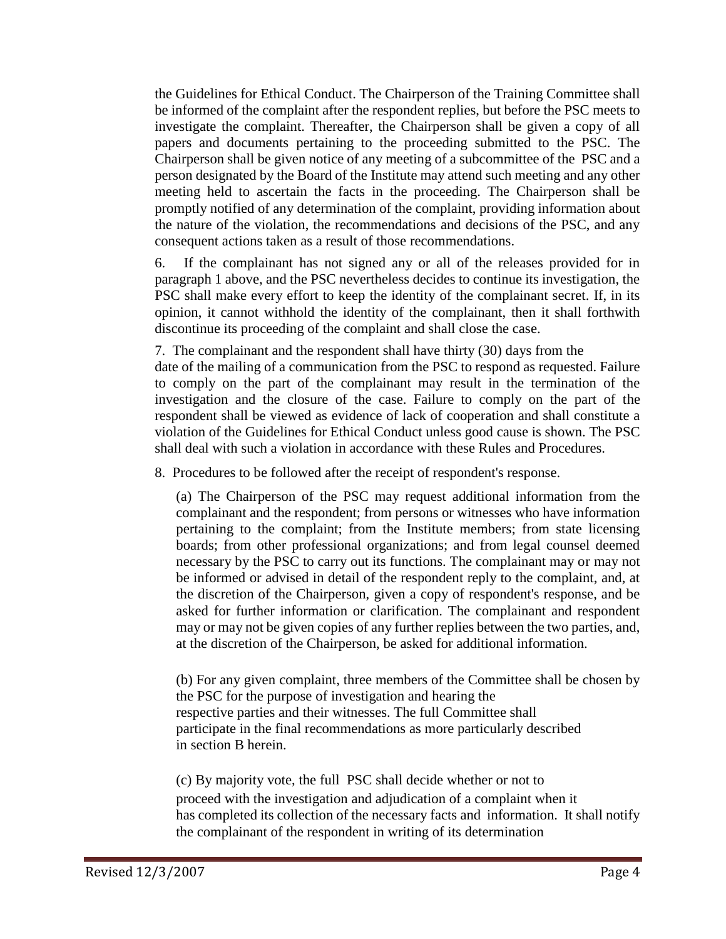the Guidelines for Ethical Conduct. The Chairperson of the Training Committee shall be informed of the complaint after the respondent replies, but before the PSC meets to investigate the complaint. Thereafter, the Chairperson shall be given a copy of all papers and documents pertaining to the proceeding submitted to the PSC. The Chairperson shall be given notice of any meeting of a subcommittee of the PSC and a person designated by the Board of the Institute may attend such meeting and any other meeting held to ascertain the facts in the proceeding. The Chairperson shall be promptly notified of any determination of the complaint, providing information about the nature of the violation, the recommendations and decisions of the PSC, and any consequent actions taken as a result of those recommendations.

6. If the complainant has not signed any or all of the releases provided for in paragraph 1 above, and the PSC nevertheless decides to continue its investigation, the PSC shall make every effort to keep the identity of the complainant secret. If, in its opinion, it cannot withhold the identity of the complainant, then it shall forthwith discontinue its proceeding of the complaint and shall close the case.

7. The complainant and the respondent shall have thirty (30) days from the

date of the mailing of a communication from the PSC to respond as requested. Failure to comply on the part of the complainant may result in the termination of the investigation and the closure of the case. Failure to comply on the part of the respondent shall be viewed as evidence of lack of cooperation and shall constitute a violation of the Guidelines for Ethical Conduct unless good cause is shown. The PSC shall deal with such a violation in accordance with these Rules and Procedures.

8. Procedures to be followed after the receipt of respondent's response.

(a) The Chairperson of the PSC may request additional information from the complainant and the respondent; from persons or witnesses who have information pertaining to the complaint; from the Institute members; from state licensing boards; from other professional organizations; and from legal counsel deemed necessary by the PSC to carry out its functions. The complainant may or may not be informed or advised in detail of the respondent reply to the complaint, and, at the discretion of the Chairperson, given a copy of respondent's response, and be asked for further information or clarification. The complainant and respondent may or may not be given copies of any further replies between the two parties, and, at the discretion of the Chairperson, be asked for additional information.

(b) For any given complaint, three members of the Committee shall be chosen by the PSC for the purpose of investigation and hearing the respective parties and their witnesses. The full Committee shall participate in the final recommendations as more particularly described in section B herein.

(c) By majority vote, the full PSC shall decide whether or not to proceed with the investigation and adjudication of a complaint when it has completed its collection of the necessary facts and information. It shall notify the complainant of the respondent in writing of its determination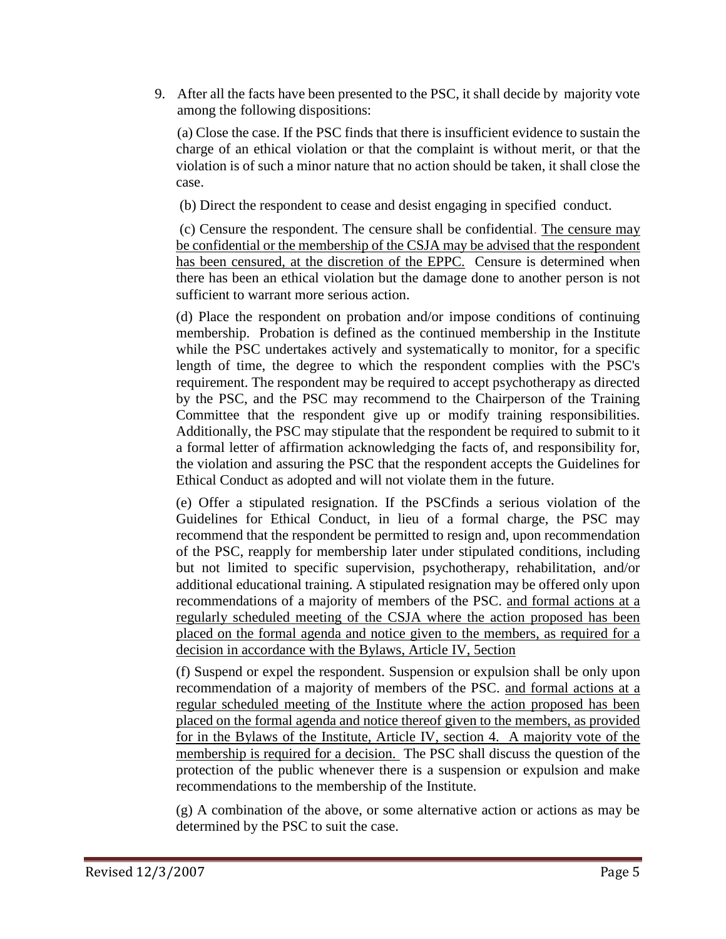9. After all the facts have been presented to the PSC, it shall decide by majority vote among the following dispositions:

(a) Close the case. If the PSC finds that there is insufficient evidence to sustain the charge of an ethical violation or that the complaint is without merit, or that the violation is of such a minor nature that no action should be taken, it shall close the case.

(b) Direct the respondent to cease and desist engaging in specified conduct.

(c) Censure the respondent. The censure shall be confidential. The censure may be confidential or the membership of the CSJA may be advised that the respondent has been censured, at the discretion of the EPPC. Censure is determined when there has been an ethical violation but the damage done to another person is not sufficient to warrant more serious action.

(d) Place the respondent on probation and/or impose conditions of continuing membership. Probation is defined as the continued membership in the Institute while the PSC undertakes actively and systematically to monitor, for a specific length of time, the degree to which the respondent complies with the PSC's requirement. The respondent may be required to accept psychotherapy as directed by the PSC, and the PSC may recommend to the Chairperson of the Training Committee that the respondent give up or modify training responsibilities. Additionally, the PSC may stipulate that the respondent be required to submit to it a formal letter of affirmation acknowledging the facts of, and responsibility for, the violation and assuring the PSC that the respondent accepts the Guidelines for Ethical Conduct as adopted and will not violate them in the future.

(e) Offer a stipulated resignation. If the PSCfinds a serious violation of the Guidelines for Ethical Conduct, in lieu of a formal charge, the PSC may recommend that the respondent be permitted to resign and, upon recommendation of the PSC, reapply for membership later under stipulated conditions, including but not limited to specific supervision, psychotherapy, rehabilitation, and/or additional educational training. A stipulated resignation may be offered only upon recommendations of a majority of members of the PSC. and formal actions at a regularly scheduled meeting of the CSJA where the action proposed has been placed on the formal agenda and notice given to the members, as required for a decision in accordance with the Bylaws, Article IV, 5ection

(f) Suspend or expel the respondent. Suspension or expulsion shall be only upon recommendation of a majority of members of the PSC. and formal actions at a regular scheduled meeting of the Institute where the action proposed has been placed on the formal agenda and notice thereof given to the members, as provided for in the Bylaws of the Institute, Article IV, section 4. A majority vote of the membership is required for a decision. The PSC shall discuss the question of the protection of the public whenever there is a suspension or expulsion and make recommendations to the membership of the Institute.

(g) A combination of the above, or some alternative action or actions as may be determined by the PSC to suit the case.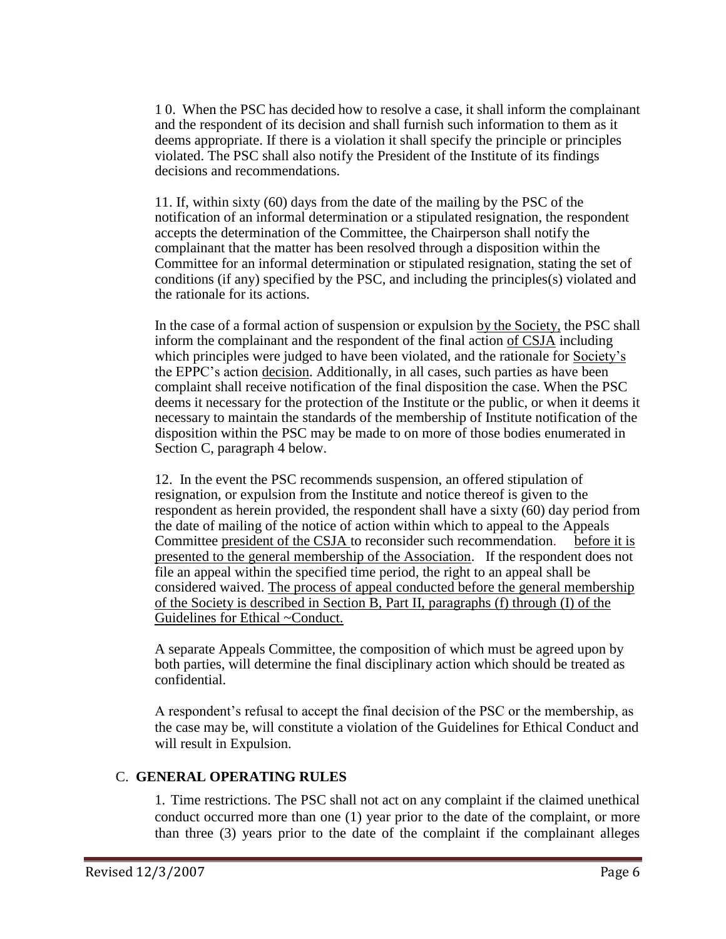1 0. When the PSC has decided how to resolve a case, it shall inform the complainant and the respondent of its decision and shall furnish such information to them as it deems appropriate. If there is a violation it shall specify the principle or principles violated. The PSC shall also notify the President of the Institute of its findings decisions and recommendations.

11. If, within sixty (60) days from the date of the mailing by the PSC of the notification of an informal determination or a stipulated resignation, the respondent accepts the determination of the Committee, the Chairperson shall notify the complainant that the matter has been resolved through a disposition within the Committee for an informal determination or stipulated resignation, stating the set of conditions (if any) specified by the PSC, and including the principles(s) violated and the rationale for its actions.

In the case of a formal action of suspension or expulsion by the Society, the PSC shall inform the complainant and the respondent of the final action of CSJA including which principles were judged to have been violated, and the rationale for Society's the EPPC's action decision. Additionally, in all cases, such parties as have been complaint shall receive notification of the final disposition the case. When the PSC deems it necessary for the protection of the Institute or the public, or when it deems it necessary to maintain the standards of the membership of Institute notification of the disposition within the PSC may be made to on more of those bodies enumerated in Section C, paragraph 4 below.

12. In the event the PSC recommends suspension, an offered stipulation of resignation, or expulsion from the Institute and notice thereof is given to the respondent as herein provided, the respondent shall have a sixty (60) day period from the date of mailing of the notice of action within which to appeal to the Appeals Committee president of the CSJA to reconsider such recommendation. before it is presented to the general membership of the Association. If the respondent does not file an appeal within the specified time period, the right to an appeal shall be considered waived. The process of appeal conducted before the general membership of the Society is described in Section B, Part II, paragraphs (f) through (I) of the Guidelines for Ethical ~Conduct.

A separate Appeals Committee, the composition of which must be agreed upon by both parties, will determine the final disciplinary action which should be treated as confidential.

A respondent's refusal to accept the final decision of the PSC or the membership, as the case may be, will constitute a violation of the Guidelines for Ethical Conduct and will result in Expulsion.

## C. **GENERAL OPERATING RULES**

1. Time restrictions. The PSC shall not act on any complaint if the claimed unethical conduct occurred more than one (1) year prior to the date of the complaint, or more than three (3) years prior to the date of the complaint if the complainant alleges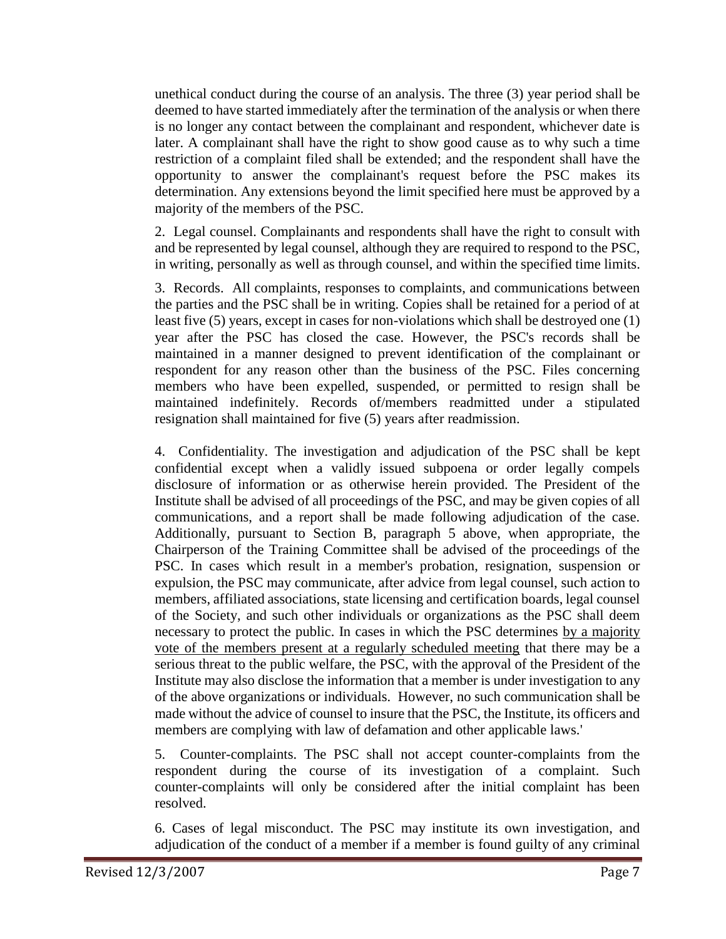unethical conduct during the course of an analysis. The three (3) year period shall be deemed to have started immediately after the termination of the analysis or when there is no longer any contact between the complainant and respondent, whichever date is later. A complainant shall have the right to show good cause as to why such a time restriction of a complaint filed shall be extended; and the respondent shall have the opportunity to answer the complainant's request before the PSC makes its determination. Any extensions beyond the limit specified here must be approved by a majority of the members of the PSC.

2. Legal counsel. Complainants and respondents shall have the right to consult with and be represented by legal counsel, although they are required to respond to the PSC, in writing, personally as well as through counsel, and within the specified time limits.

3. Records. All complaints, responses to complaints, and communications between the parties and the PSC shall be in writing. Copies shall be retained for a period of at least five (5) years, except in cases for non-violations which shall be destroyed one (1) year after the PSC has closed the case. However, the PSC's records shall be maintained in a manner designed to prevent identification of the complainant or respondent for any reason other than the business of the PSC. Files concerning members who have been expelled, suspended, or permitted to resign shall be maintained indefinitely. Records of/members readmitted under a stipulated resignation shall maintained for five (5) years after readmission.

4. Confidentiality. The investigation and adjudication of the PSC shall be kept confidential except when a validly issued subpoena or order legally compels disclosure of information or as otherwise herein provided. The President of the Institute shall be advised of all proceedings of the PSC, and may be given copies of all communications, and a report shall be made following adjudication of the case. Additionally, pursuant to Section B, paragraph 5 above, when appropriate, the Chairperson of the Training Committee shall be advised of the proceedings of the PSC. In cases which result in a member's probation, resignation, suspension or expulsion, the PSC may communicate, after advice from legal counsel, such action to members, affiliated associations, state licensing and certification boards, legal counsel of the Society, and such other individuals or organizations as the PSC shall deem necessary to protect the public. In cases in which the PSC determines by a majority vote of the members present at a regularly scheduled meeting that there may be a serious threat to the public welfare, the PSC, with the approval of the President of the Institute may also disclose the information that a member is under investigation to any of the above organizations or individuals. However, no such communication shall be made without the advice of counsel to insure that the PSC, the Institute, its officers and members are complying with law of defamation and other applicable laws.'

5. Counter-complaints. The PSC shall not accept counter-complaints from the respondent during the course of its investigation of a complaint. Such counter-complaints will only be considered after the initial complaint has been resolved.

6. Cases of legal misconduct. The PSC may institute its own investigation, and adjudication of the conduct of a member if a member is found guilty of any criminal